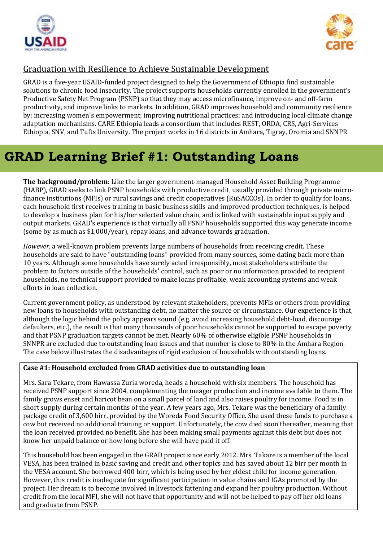



## Graduation with Resilience to Achieve Sustainable Development

GRAD is a five-year USAID-funded project designed to help the Government of Ethiopia find sustainable solutions to chronic food insecurity. The project supports households currently enrolled in the government's Productive Safety Net Program (PSNP) so that they may access microfinance, improve on- and off-farm productivity, and improve links to markets. In addition, GRAD improves household and community resilience by: increasing women's empowerment; improving nutritional practices; and introducing local climate change adaptation mechanisms. CARE Ethiopia leads a consortium that includes REST, ORDA, CRS, Agri-Services Ethiopia, SNV, and Tufts University. The project works in 16 districts in Amhara, Tigray, Oromia and SNNPR.

## **GRAD Learning Brief #1: Outstanding Loans**

**The background/problem**: Like the larger government-managed Household Asset Building Programme (HABP), GRAD seeks to link PSNP households with productive credit, usually provided through private microfinance institutions (MFIs) or rural savings and credit cooperatives (RuSACCOs). In order to qualify for loans, each household first receives training in basic business skills and improved production techniques, is helped to develop a business plan for his/her selected value chain, and is linked with sustainable input supply and output markets. GRAD's experience is that virtually all PSNP households supported this way generate income (some by as much as \$1,000/year), repay loans, and advance towards graduation.

*However*, a well-known problem prevents large numbers of households from receiving credit. These households are said to have "outstanding loans" provided from many sources, some dating back more than 10 years. Although some households have surely acted irresponsibly, most stakeholders attribute the problem to factors outside of the households' control, such as poor or no information provided to recipient households, no technical support provided to make loans profitable, weak accounting systems and weak efforts in loan collection.

Current government policy, as understood by relevant stakeholders, prevents MFIs or others from providing new loans to households with outstanding debt, no matter the source or circumstance. Our experience is that, although the logic behind the policy appears sound (e.g. avoid increasing household debt-load, discourage defaulters, etc.), the result is that many thousands of poor households cannot be supported to escape poverty and that PSNP graduation targets cannot be met. Nearly 60% of otherwise eligible PSNP households in SNNPR are excluded due to outstanding loan issues and that number is close to 80% in the Amhara Region. The case below illustrates the disadvantages of rigid exclusion of households with outstanding loans.

## **Case #1: Household excluded from GRAD activities due to outstanding loan**

Mrs. Sara Tekare, from Hawassa Zuria woreda, heads a household with six members. The household has received PSNP support since 2004, complementing the meager production and income available to them. The family grows enset and haricot bean on a small parcel of land and also raises poultry for income. Food is in short supply during certain months of the year. A few years ago, Mrs. Tekare was the beneficiary of a family package credit of 3,600 birr, provided by the Woreda Food Security Office. She used these funds to purchase a cow but received no additional training or support. Unfortunately, the cow died soon thereafter, meaning that the loan received provided no benefit. She has been making small payments against this debt but does not know her unpaid balance or how long before she will have paid it off.

This household has been engaged in the GRAD project since early 2012. Mrs. Takare is a member of the local VESA, has been trained in basic saving and credit and other topics and has saved about 12 birr per month in the VESA account. She borrowed 400 birr, which is being used by her eldest child for income generation. However, this credit is inadequate for significant participation in value chains and IGAs promoted by the project. Her dream is to become involved in livestock fattening and expand her poultry production. Without credit from the local MFI, she will not have that opportunity and will not be helped to pay off her old loans and graduate from PSNP.